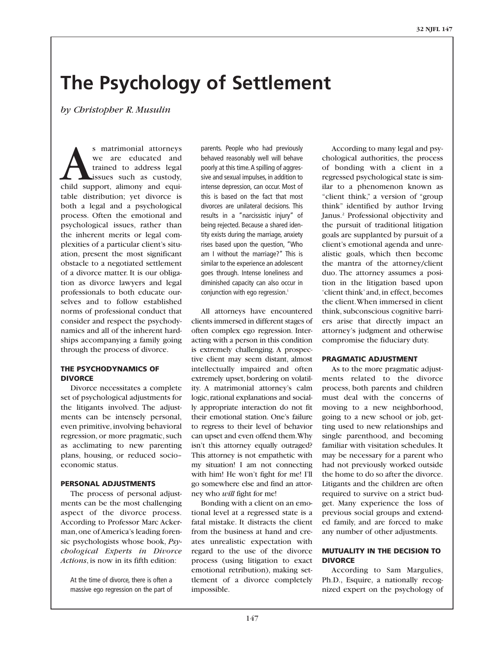# **The Psychology of Settlement**

*by Christopher R. Musulin*

S matrimonial attorneys<br>
we are educated and<br>
trained to address legal<br>
issues such as custody,<br>
child support, alimony and equiwe are educated and trained to address legal issues such as custody, table distribution; yet divorce is both a legal and a psychological process. Often the emotional and psychological issues, rather than the inherent merits or legal complexities of a particular client's situation, present the most significant obstacle to a negotiated settlement of a divorce matter. It is our obligation as divorce lawyers and legal professionals to both educate ourselves and to follow established norms of professional conduct that consider and respect the psychodynamics and all of the inherent hardships accompanying a family going through the process of divorce.

### **THE PSYCHODYNAMICS OF DIVORCE**

Divorce necessitates a complete set of psychological adjustments for the litigants involved. The adjustments can be intensely personal, even primitive, involving behavioral regression, or more pragmatic, such as acclimating to new parenting plans, housing, or reduced socio– economic status.

### **PERSONAL ADJUSTMENTS**

The process of personal adjustments can be the most challenging aspect of the divorce process. According to Professor Marc Ackerman, one of America's leading forensic psychologists whose book, *Psychological Experts in Divorce Actions*, is now in its fifth edition:

At the time of divorce, there is often a massive ego regression on the part of parents. People who had previously behaved reasonably well will behave poorly at this time.A spilling of aggressive and sexual impulses, in addition to intense depression, can occur. Most of this is based on the fact that most divorces are unilateral decisions. This results in a "narcissistic injury" of being rejected. Because a shared identity exists during the marriage, anxiety rises based upon the question, "Who am I without the marriage?" This is similar to the experience an adolescent goes through. Intense loneliness and diminished capacity can also occur in conjunction with ego regression. 1

All attorneys have encountered clients immersed in different stages of often complex ego regression. Interacting with a person in this condition is extremely challenging. A prospective client may seem distant, almost intellectually impaired and often extremely upset, bordering on volatility. A matrimonial attorney's calm logic, rational explanations and socially appropriate interaction do not fit their emotional station. One's failure to regress to their level of behavior can upset and even offend them.Why isn't this attorney equally outraged? This attorney is not empathetic with my situation! I am not connecting with him! He won't fight for me! I'll go somewhere else and find an attorney who *will* fight for me!

Bonding with a client on an emotional level at a regressed state is a fatal mistake. It distracts the client from the business at hand and creates unrealistic expectation with regard to the use of the divorce process (using litigation to exact emotional retribution), making settlement of a divorce completely impossible.

According to many legal and psychological authorities, the process of bonding with a client in a regressed psychological state is similar to a phenomenon known as "client think," a version of "group think" identified by author Irving Janus. <sup>2</sup> Professional objectivity and the pursuit of traditional litigation goals are supplanted by pursuit of a client's emotional agenda and unrealistic goals, which then become the mantra of the attorney/client duo. The attorney assumes a position in the litigation based upon 'client think' and, in effect, becomes the client.When immersed in client think, subconscious cognitive barriers arise that directly impact an attorney's judgment and otherwise compromise the fiduciary duty.

### **PRAGMATIC ADJUSTMENT**

As to the more pragmatic adjustments related to the divorce process, both parents and children must deal with the concerns of moving to a new neighborhood, going to a new school or job, getting used to new relationships and single parenthood, and becoming familiar with visitation schedules. It may be necessary for a parent who had not previously worked outside the home to do so after the divorce. Litigants and the children are often required to survive on a strict budget. Many experience the loss of previous social groups and extended family, and are forced to make any number of other adjustments.

## **MUTUALITY IN THE DECISION TO DIVORCE**

According to Sam Margulies, Ph.D., Esquire, a nationally recognized expert on the psychology of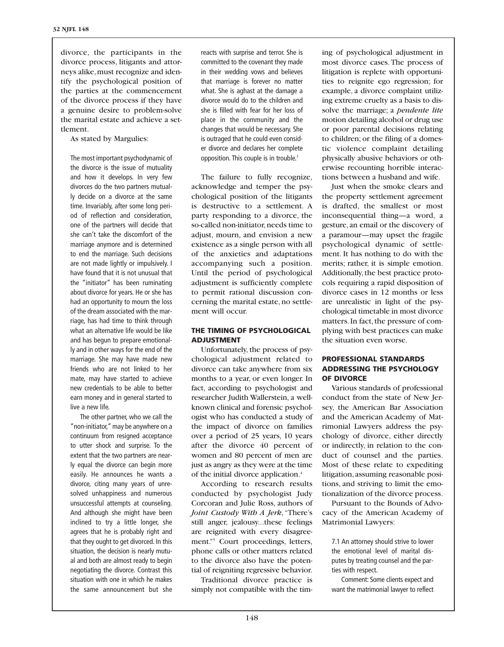divorce, the participants in the divorce process, litigants and attorneys alike, must recognize and identify the psychological position of the parties at the commencement of the divorce process if they have a genuine desire to problem-solve the marital estate and achieve a settlement.

As stated by Margulies:

The most important psychodynamic of the divorce is the issue of mutuality and how it develops. In very few divorces do the two partners mutually decide on a divorce at the same time. Invariably, after some long period of reflection and consideration, one of the partners will decide that she can't take the discomfort of the marriage anymore and is determined to end the marriage. Such decisions are not made lightly or impulsively. I have found that it is not unusual that the "initiator" has been ruminating about divorce for years. He or she has had an opportunity to mourn the loss of the dream associated with the marriage, has had time to think through what an alternative life would be like and has begun to prepare emotionally and in other ways for the end of the marriage. She may have made new friends who are not linked to her mate, may have started to achieve new credentials to be able to better earn money and in general started to live a new life.

The other partner, who we call the "non-initiator," may be anywhere on a continuum from resigned acceptance to utter shock and surprise. To the extent that the two partners are nearly equal the divorce can begin more easily. He announces he wants a divorce, citing many years of unresolved unhappiness and numerous unsuccessful attempts at counseling. And although she might have been inclined to try a little longer, she agrees that he is probably right and that they ought to get divorced. In this situation, the decision is nearly mutual and both are almost ready to begin negotiating the divorce. Contrast this situation with one in which he makes the same announcement but she

reacts with surprise and terror. She is committed to the covenant they made in their wedding vows and believes that marriage is forever no matter what. She is aghast at the damage a divorce would do to the children and she is filled with fear for her loss of place in the community and the changes that would be necessary. She is outraged that he could even consider divorce and declares her complete opposition. This couple is in trouble. 3

The failure to fully recognize, acknowledge and temper the psychological position of the litigants is destructive to a settlement. A party responding to a divorce, the so-called non-initiator, needs time to adjust, mourn, and envision a new existence as a single person with all of the anxieties and adaptations accompanying such a position. Until the period of psychological adjustment is sufficiently complete to permit rational discussion concerning the marital estate, no settlement will occur.

# **THE TIMING OF PSYCHOLOGICAL ADJUSTMENT**

Unfortunately, the process of psychological adjustment related to divorce can take anywhere from six months to a year, or even longer. In fact, according to psychologist and researcher Judith Wallerstein, a wellknown clinical and forensic psychologist who has conducted a study of the impact of divorce on families over a period of 25 years, 10 years after the divorce 40 percent of women and 80 percent of men are just as angry as they were at the time of the initial divorce application. 4

According to research results conducted by psychologist Judy Corcoran and Julie Ross, authors of *Joint Custody With A Jerk*, "There's still anger, jealousy...these feelings are reignited with every disagreement."5 Court proceedings, letters, phone calls or other matters related to the divorce also have the potential of reigniting regressive behavior.

Traditional divorce practice is simply not compatible with the timing of psychological adjustment in most divorce cases. The process of litigation is replete with opportunities to reignite ego regression; for example, a divorce complaint utilizing extreme cruelty as a basis to dissolve the marriage; a *pendente lite* motion detailing alcohol or drug use or poor parental decisions relating to children; or the filing of a domestic violence complaint detailing physically abusive behaviors or otherwise recounting horrible interactions between a husband and wife.

Just when the smoke clears and the property settlement agreement is drafted, the smallest or most inconsequential thing—a word, a gesture, an email or the discovery of a paramour—may upset the fragile psychological dynamic of settlement. It has nothing to do with the merits; rather, it is simple emotion. Additionally, the best practice protocols requiring a rapid disposition of divorce cases in 12 months or less are unrealistic in light of the psychological timetable in most divorce matters. In fact, the pressure of complying with best practices can make the situation even worse.

## **PROFESSIONAL STANDARDS ADDRESSING THE PSYCHOLOGY OF DIVORCE**

Various standards of professional conduct from the state of New Jersey, the American Bar Association and the American Academy of Matrimonial Lawyers address the psychology of divorce, either directly or indirectly, in relation to the conduct of counsel and the parties. Most of these relate to expediting litigation, assuming reasonable positions, and striving to limit the emotionalization of the divorce process.

Pursuant to the Bounds of Advocacy of the American Academy of Matrimonial Lawyers:

7.1 An attorney should strive to lower the emotional level of marital disputes by treating counsel and the parties with respect.

Comment: Some clients expect and want the matrimonial lawyer to reflect